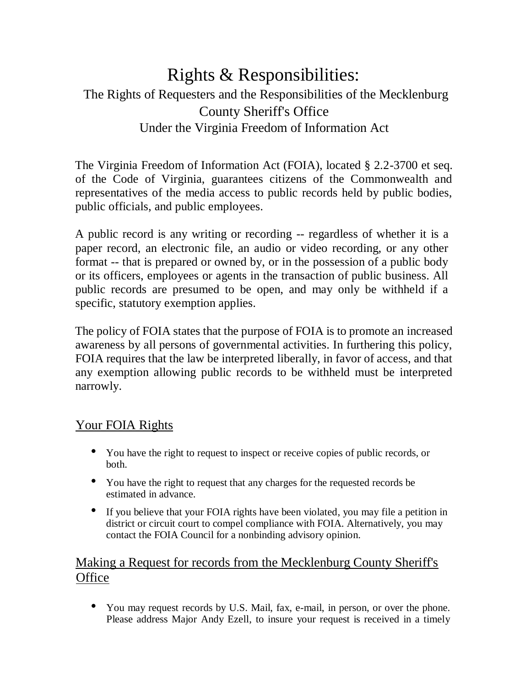# Rights & Responsibilities: The Rights of Requesters and the Responsibilities of the Mecklenburg County Sheriff's Office Under the Virginia Freedom of Information Act

The Virginia Freedom of Information Act (FOIA), located § 2.2-3700 et seq. of the Code of Virginia, guarantees citizens of the Commonwealth and representatives of the media access to public records held by public bodies, public officials, and public employees.

A public record is any writing or recording -- regardless of whether it is a paper record, an electronic file, an audio or video recording, or any other format -- that is prepared or owned by, or in the possession of a public body or its officers, employees or agents in the transaction of public business. All public records are presumed to be open, and may only be withheld if a specific, statutory exemption applies.

The policy of FOIA states that the purpose of FOIA is to promote an increased awareness by all persons of governmental activities. In furthering this policy, FOIA requires that the law be interpreted liberally, in favor of access, and that any exemption allowing public records to be withheld must be interpreted narrowly.

## Your FOIA Rights

- You have the right to request to inspect or receive copies of public records, or both.
- You have the right to request that any charges for the requested records be estimated in advance.
- If you believe that your FOIA rights have been violated, you may file a petition in district or circuit court to compel compliance with FOIA. Alternatively, you may contact the FOIA Council for a nonbinding advisory opinion.

# Making a Request for records from the Mecklenburg County Sheriff's **Office**

• You may request records by U.S. Mail, fax, e-mail, in person, or over the phone. Please address Major Andy Ezell, to insure your request is received in a timely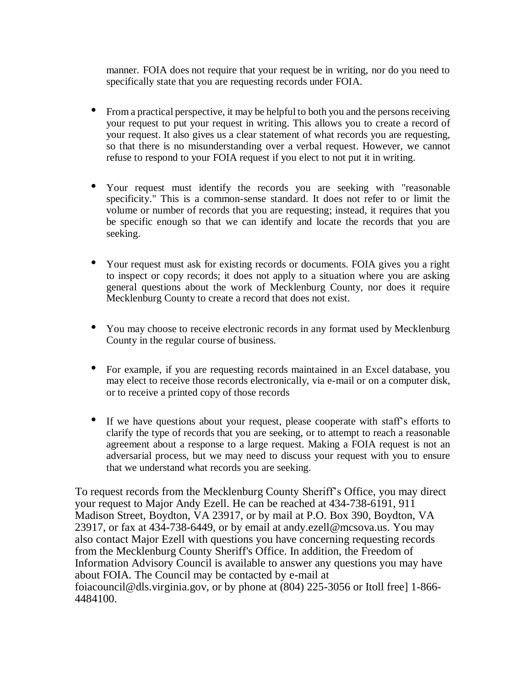manner. FOIA does not require that your request be in writing, nor do you need to specifically state that you are requesting records under FOIA.

- From a practical perspective, it may be helpful to both you and the persons receiving your request to put your request in writing. This allows you to create a record of your request. It also gives us a clear statement of what records you are requesting, so that there is no misunderstanding over a verbal request. However, we cannot refuse to respond to your FOIA request if you elect to not put it in writing.
- Your request must identify the records you are seeking with "reasonable specificity." This is a common-sense standard. It does not refer to or limit the volume or number of records that you are requesting; instead, it requires that you be specific enough so that we can identify and locate the records that you are seeking.
- Your request must ask for existing records or documents. FOIA gives you a right to inspect or copy records; it does not apply to a situation where you are asking general questions about the work of Mecklenburg County, nor does it require Mecklenburg County to create a record that does not exist.
- You may choose to receive electronic records in any format used by Mecklenburg County in the regular course of business.
- For example, if you are requesting records maintained in an Excel database, you may elect to receive those records electronically, via e-mail or on a computer disk, or to receive a printed copy of those records
- If we have questions about your request, please cooperate with staff's efforts to clarify the type of records that you are seeking, or to attempt to reach a reasonable agreement about a response to a large request. Making a FOIA request is not an adversarial process, but we may need to discuss your request with you to ensure that we understand what records you are seeking.

To request records from the Mecklenburg County Sheriff's Office, you may direct your request to Major Andy Ezell. He can be reached at 434-738-6191, 911 Madison Street, Boydton, VA 23917, or by mail at P.O. Box 390, Boydton, VA 23917, or fax at 434-738-6449, or by email at andy.ezell@mcsova.us. You may also contact Major Ezell with questions you have concerning requesting records from the Mecklenburg County Sheriff's Office. In addition, the Freedom of Information Advisory Council is available to answer any questions you may have about FOIA. The Council may be contacted by e-mail at foiacouncil@dls.virginia.gov, or by phone at (804) 225-3056 or Itoll free] 1-866- 4484100.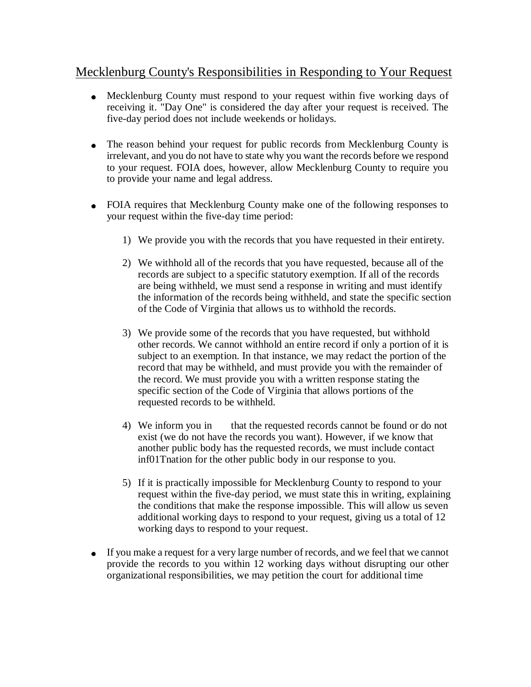## Mecklenburg County's Responsibilities in Responding to Your Request

- Mecklenburg County must respond to your request within five working days of receiving it. "Day One" is considered the day after your request is received. The five-day period does not include weekends or holidays.
- The reason behind your request for public records from Mecklenburg County is irrelevant, and you do not have to state why you want the records before we respond to your request. FOIA does, however, allow Mecklenburg County to require you to provide your name and legal address.
- FOIA requires that Mecklenburg County make one of the following responses to your request within the five-day time period:
	- 1) We provide you with the records that you have requested in their entirety.
	- 2) We withhold all of the records that you have requested, because all of the records are subject to a specific statutory exemption. If all of the records are being withheld, we must send a response in writing and must identify the information of the records being withheld, and state the specific section of the Code of Virginia that allows us to withhold the records.
	- 3) We provide some of the records that you have requested, but withhold other records. We cannot withhold an entire record if only a portion of it is subject to an exemption. In that instance, we may redact the portion of the record that may be withheld, and must provide you with the remainder of the record. We must provide you with a written response stating the specific section of the Code of Virginia that allows portions of the requested records to be withheld.
	- 4) We inform you in that the requested records cannot be found or do not exist (we do not have the records you want). However, if we know that another public body has the requested records, we must include contact inf01Tnation for the other public body in our response to you.
	- 5) If it is practically impossible for Mecklenburg County to respond to your request within the five-day period, we must state this in writing, explaining the conditions that make the response impossible. This will allow us seven additional working days to respond to your request, giving us a total of 12 working days to respond to your request.
- If you make a request for a very large number of records, and we feel that we cannot provide the records to you within 12 working days without disrupting our other organizational responsibilities, we may petition the court for additional time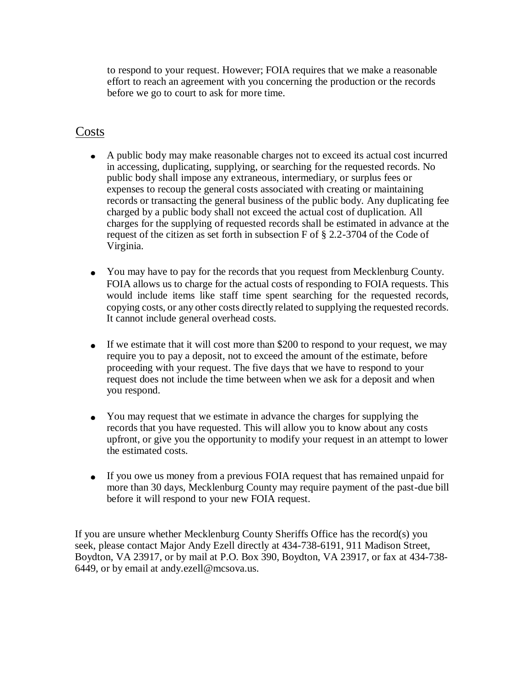to respond to your request. However; FOIA requires that we make a reasonable effort to reach an agreement with you concerning the production or the records before we go to court to ask for more time.

#### Costs

- A public body may make reasonable charges not to exceed its actual cost incurred in accessing, duplicating, supplying, or searching for the requested records. No public body shall impose any extraneous, intermediary, or surplus fees or expenses to recoup the general costs associated with creating or maintaining records or transacting the general business of the public body. Any duplicating fee charged by a public body shall not exceed the actual cost of duplication. All charges for the supplying of requested records shall be estimated in advance at the request of the citizen as set forth in subsection F of § 2.2-3704 of the Code of Virginia.
- You may have to pay for the records that you request from Mecklenburg County. FOIA allows us to charge for the actual costs of responding to FOIA requests. This would include items like staff time spent searching for the requested records, copying costs, or any other costs directly related to supplying the requested records. It cannot include general overhead costs.
- If we estimate that it will cost more than \$200 to respond to your request, we may require you to pay a deposit, not to exceed the amount of the estimate, before proceeding with your request. The five days that we have to respond to your request does not include the time between when we ask for a deposit and when you respond.
- You may request that we estimate in advance the charges for supplying the records that you have requested. This will allow you to know about any costs upfront, or give you the opportunity to modify your request in an attempt to lower the estimated costs.
- If you owe us money from a previous FOIA request that has remained unpaid for more than 30 days, Mecklenburg County may require payment of the past-due bill before it will respond to your new FOIA request.

If you are unsure whether Mecklenburg County Sheriffs Office has the record(s) you seek, please contact Major Andy Ezell directly at 434-738-6191, 911 Madison Street, Boydton, VA 23917, or by mail at P.O. Box 390, Boydton, VA 23917, or fax at 434-738- 6449, or by email at andy.ezell@mcsova.us.